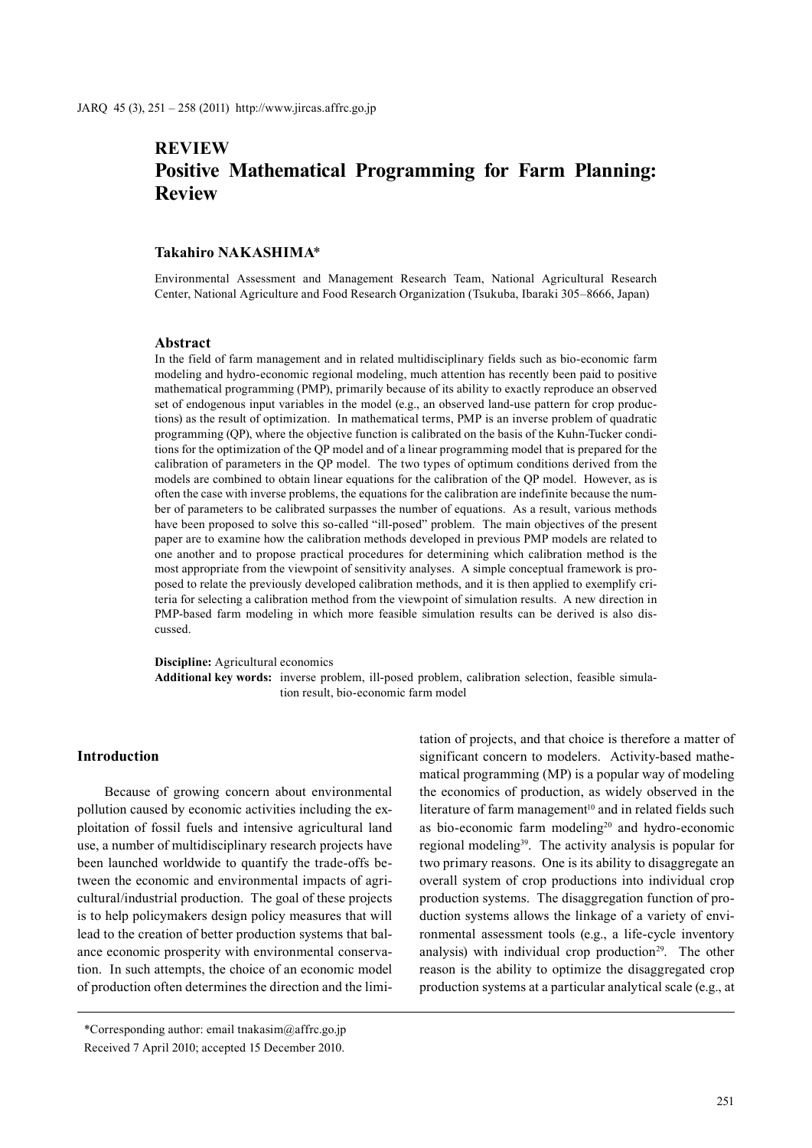# **REVIEW Positive Mathematical Programming for Farm Planning: Review**

## **Takahiro NAKASHIMA**\*

Environmental Assessment and Management Research Team, National Agricultural Research Center, National Agriculture and Food Research Organization (Tsukuba, Ibaraki 305–8666, Japan)

## **Abstract**

In the field of farm management and in related multidisciplinary fields such as bio-economic farm modeling and hydro-economic regional modeling, much attention has recently been paid to positive mathematical programming (PMP), primarily because of its ability to exactly reproduce an observed set of endogenous input variables in the model (e.g., an observed land-use pattern for crop productions) as the result of optimization. In mathematical terms, PMP is an inverse problem of quadratic programming (QP), where the objective function is calibrated on the basis of the Kuhn-Tucker conditions for the optimization of the QP model and of a linear programming model that is prepared for the calibration of parameters in the QP model. The two types of optimum conditions derived from the models are combined to obtain linear equations for the calibration of the QP model. However, as is often the case with inverse problems, the equations for the calibration are indefinite because the number of parameters to be calibrated surpasses the number of equations. As a result, various methods have been proposed to solve this so-called "ill-posed" problem. The main objectives of the present paper are to examine how the calibration methods developed in previous PMP models are related to one another and to propose practical procedures for determining which calibration method is the most appropriate from the viewpoint of sensitivity analyses. A simple conceptual framework is proposed to relate the previously developed calibration methods, and it is then applied to exemplify criteria for selecting a calibration method from the viewpoint of simulation results. A new direction in PMP-based farm modeling in which more feasible simulation results can be derived is also discussed.

**Discipline:** Agricultural economics **Additional key words:** inverse problem, ill-posed problem, calibration selection, feasible simulation result, bio-economic farm model

## **Introduction**

Because of growing concern about environmental pollution caused by economic activities including the exploitation of fossil fuels and intensive agricultural land use, a number of multidisciplinary research projects have been launched worldwide to quantify the trade-offs between the economic and environmental impacts of agricultural/industrial production. The goal of these projects is to help policymakers design policy measures that will lead to the creation of better production systems that balance economic prosperity with environmental conservation. In such attempts, the choice of an economic model of production often determines the direction and the limitation of projects, and that choice is therefore a matter of significant concern to modelers. Activity-based mathematical programming (MP) is a popular way of modeling the economics of production, as widely observed in the literature of farm management<sup>10</sup> and in related fields such as bio-economic farm modeling<sup>20</sup> and hydro-economic regional modeling39. The activity analysis is popular for two primary reasons. One is its ability to disaggregate an overall system of crop productions into individual crop production systems. The disaggregation function of production systems allows the linkage of a variety of environmental assessment tools (e.g., a life-cycle inventory analysis) with individual crop production $2^9$ . The other reason is the ability to optimize the disaggregated crop production systems at a particular analytical scale (e.g., at

<sup>\*</sup>Corresponding author: email tnakasim@affrc.go.jp Received 7 April 2010; accepted 15 December 2010.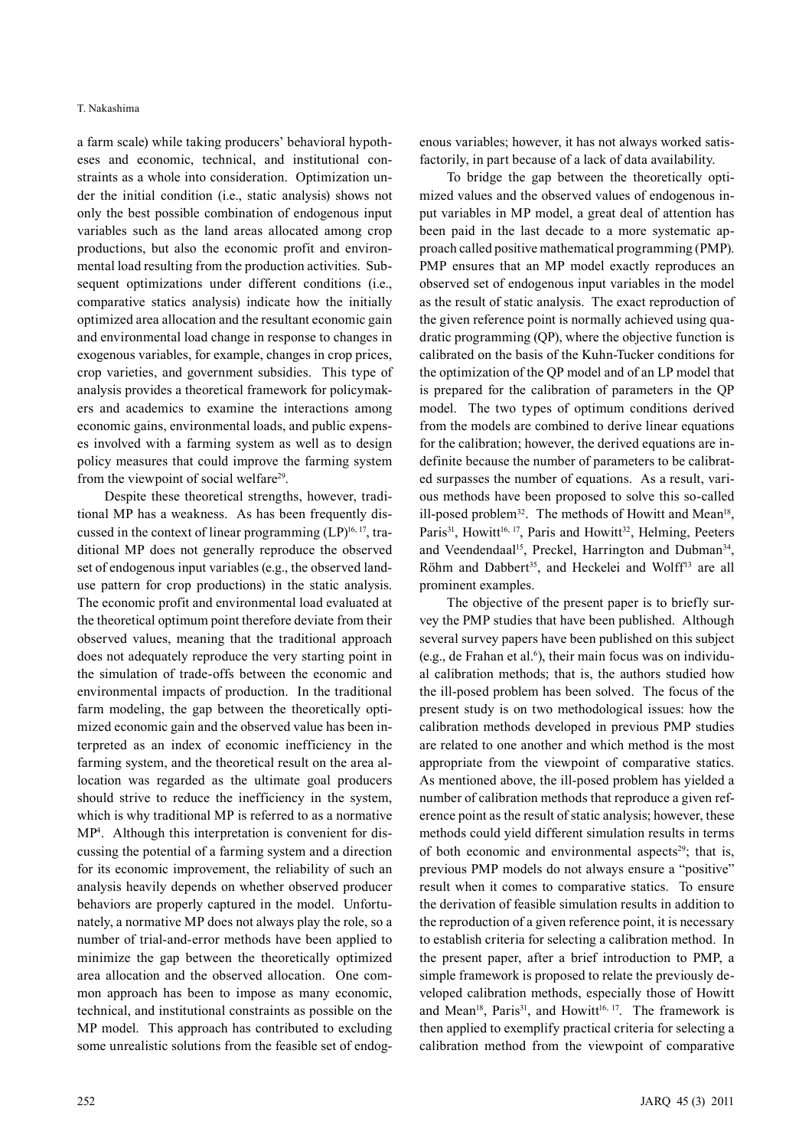#### T. Nakashima

a farm scale) while taking producers' behavioral hypotheses and economic, technical, and institutional constraints as a whole into consideration. Optimization under the initial condition (i.e., static analysis) shows not only the best possible combination of endogenous input variables such as the land areas allocated among crop productions, but also the economic profit and environmental load resulting from the production activities. Subsequent optimizations under different conditions (i.e., comparative statics analysis) indicate how the initially optimized area allocation and the resultant economic gain and environmental load change in response to changes in exogenous variables, for example, changes in crop prices, crop varieties, and government subsidies. This type of analysis provides a theoretical framework for policymakers and academics to examine the interactions among economic gains, environmental loads, and public expenses involved with a farming system as well as to design policy measures that could improve the farming system from the viewpoint of social welfare<sup>29</sup>.

Despite these theoretical strengths, however, traditional MP has a weakness. As has been frequently discussed in the context of linear programming  $(LP)^{16, 17}$ , traditional MP does not generally reproduce the observed set of endogenous input variables (e.g., the observed landuse pattern for crop productions) in the static analysis. The economic profit and environmental load evaluated at the theoretical optimum point therefore deviate from their observed values, meaning that the traditional approach does not adequately reproduce the very starting point in the simulation of trade-offs between the economic and environmental impacts of production. In the traditional farm modeling, the gap between the theoretically optimized economic gain and the observed value has been interpreted as an index of economic inefficiency in the farming system, and the theoretical result on the area allocation was regarded as the ultimate goal producers should strive to reduce the inefficiency in the system, which is why traditional MP is referred to as a normative MP4 . Although this interpretation is convenient for discussing the potential of a farming system and a direction for its economic improvement, the reliability of such an analysis heavily depends on whether observed producer behaviors are properly captured in the model. Unfortunately, a normative MP does not always play the role, so a number of trial-and-error methods have been applied to minimize the gap between the theoretically optimized area allocation and the observed allocation. One common approach has been to impose as many economic, technical, and institutional constraints as possible on the MP model. This approach has contributed to excluding some unrealistic solutions from the feasible set of endogenous variables; however, it has not always worked satisfactorily, in part because of a lack of data availability.

To bridge the gap between the theoretically optimized values and the observed values of endogenous input variables in MP model, a great deal of attention has been paid in the last decade to a more systematic approach called positive mathematical programming (PMP). PMP ensures that an MP model exactly reproduces an observed set of endogenous input variables in the model as the result of static analysis. The exact reproduction of the given reference point is normally achieved using quadratic programming (QP), where the objective function is calibrated on the basis of the Kuhn-Tucker conditions for the optimization of the QP model and of an LP model that is prepared for the calibration of parameters in the QP model. The two types of optimum conditions derived from the models are combined to derive linear equations for the calibration; however, the derived equations are indefinite because the number of parameters to be calibrated surpasses the number of equations. As a result, various methods have been proposed to solve this so-called ill-posed problem<sup>32</sup>. The methods of Howitt and Mean<sup>18</sup>, Paris<sup>31</sup>, Howitt<sup>16, 17</sup>, Paris and Howitt<sup>32</sup>, Helming, Peeters and Veendendaal<sup>15</sup>, Preckel, Harrington and Dubman<sup>34</sup>, Röhm and Dabbert<sup>35</sup>, and Heckelei and Wolff<sup>13</sup> are all prominent examples.

The objective of the present paper is to briefly survey the PMP studies that have been published. Although several survey papers have been published on this subject  $(e.g., de Frahan et al.<sup>6</sup>), their main focus was on individual$ al calibration methods; that is, the authors studied how the ill-posed problem has been solved. The focus of the present study is on two methodological issues: how the calibration methods developed in previous PMP studies are related to one another and which method is the most appropriate from the viewpoint of comparative statics. As mentioned above, the ill-posed problem has yielded a number of calibration methods that reproduce a given reference point as the result of static analysis; however, these methods could yield different simulation results in terms of both economic and environmental aspects<sup>29</sup>; that is, previous PMP models do not always ensure a "positive" result when it comes to comparative statics. To ensure the derivation of feasible simulation results in addition to the reproduction of a given reference point, it is necessary to establish criteria for selecting a calibration method. In the present paper, after a brief introduction to PMP, a simple framework is proposed to relate the previously developed calibration methods, especially those of Howitt and Mean<sup>18</sup>, Paris<sup>31</sup>, and Howitt<sup>16, 17</sup>. The framework is then applied to exemplify practical criteria for selecting a calibration method from the viewpoint of comparative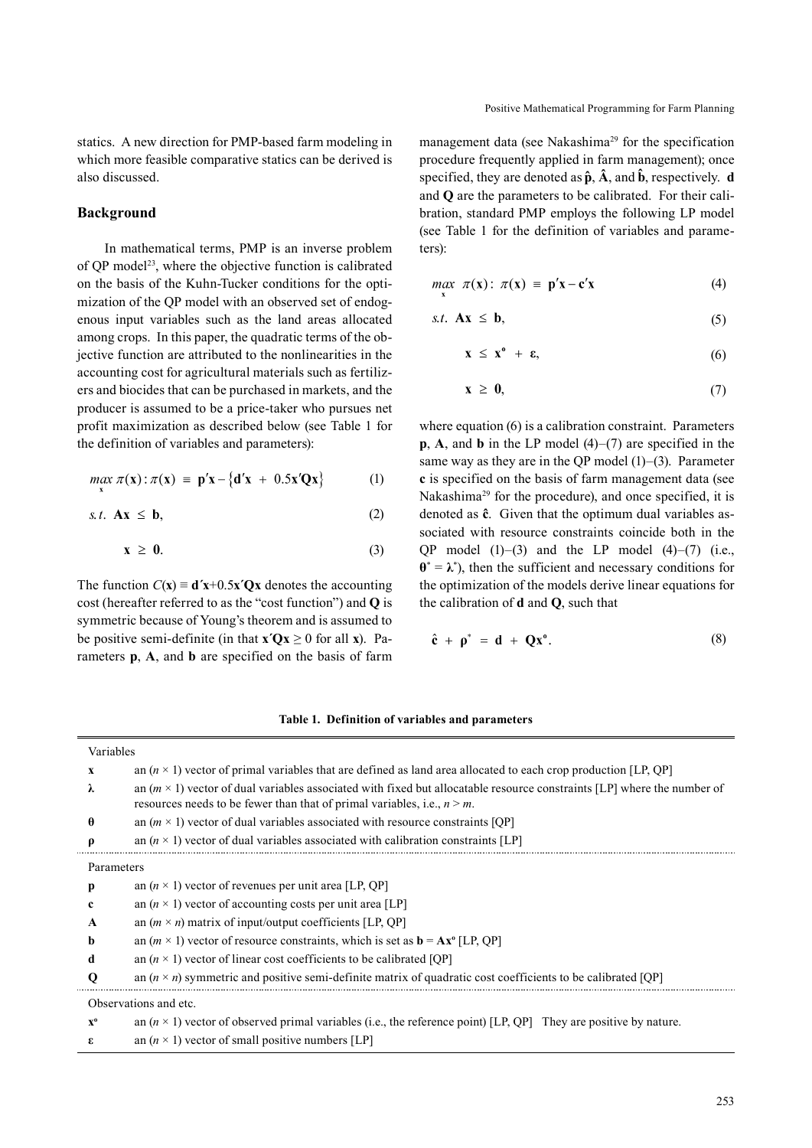statics. A new direction for PMP-based farm modeling in which more feasible comparative statics can be derived is also discussed.

## **Background**

In mathematical terms, PMP is an inverse problem of QP model23, where the objective function is calibrated on the basis of the Kuhn-Tucker conditions for the optimization of the QP model with an observed set of endogenous input variables such as the land areas allocated among crops. In this paper, the quadratic terms of the objective function are attributed to the nonlinearities in the accounting cost for agricultural materials such as fertilizers and biocides that can be purchased in markets, and the producer is assumed to be a price-taker who pursues net profit maximization as described below (see Table 1 for the definition of variables and parameters):

$$
max \pi(\mathbf{x}) : \pi(\mathbf{x}) = \mathbf{p}'\mathbf{x} - \{\mathbf{d}'\mathbf{x} + 0.5\mathbf{x}'\mathbf{Q}\mathbf{x}\}
$$
 (1)

$$
s.t. Ax \leq b,
$$
 (2)

$$
\mathbf{x} \geq \mathbf{0}.\tag{3}
$$

The function  $C(\mathbf{x}) \equiv \mathbf{d}'\mathbf{x} + 0.5\mathbf{x}'\mathbf{Q}\mathbf{x}$  denotes the accounting cost (hereafter referred to as the "cost function") and **Q** is symmetric because of Young's theorem and is assumed to be positive semi-definite (in that  $\mathbf{x'Ox} \geq 0$  for all **x**). Parameters **p**, **A**, and **b** are specified on the basis of farm

management data (see Nakashima<sup>29</sup> for the specification procedure frequently applied in farm management); once specified, they are denoted as  $\hat{\mathbf{p}}$ ,  $\hat{\mathbf{A}}$ , and  $\hat{\mathbf{b}}$ , respectively. **d** and **Q** are the parameters to be calibrated. For their calibration, standard PMP employs the following LP model (see Table 1 for the definition of variables and parameters):

$$
max \ \pi(\mathbf{x}): \ \pi(\mathbf{x}) = \mathbf{p}'\mathbf{x} - \mathbf{c}'\mathbf{x} \tag{4}
$$

$$
s.t. Ax \leq b,
$$
 (5)

$$
\mathbf{x} \leq \mathbf{x}^{\mathbf{0}} + \mathbf{\varepsilon}, \tag{6}
$$

$$
x \geq 0, \tag{7}
$$

where equation (6) is a calibration constraint. Parameters **p**, **A**, and **b** in the LP model (4)–(7) are specified in the same way as they are in the QP model  $(1)$ – $(3)$ . Parameter **c** is specified on the basis of farm management data (see Nakashima<sup>29</sup> for the procedure), and once specified, it is denoted as **ĉ**. Given that the optimum dual variables associated with resource constraints coincide both in the  $QP \text{ model } (1)$ –(3) and the LP model (4)–(7) (i.e.,  $\mathbf{\theta}^* = \mathbf{\lambda}^*$ , then the sufficient and necessary conditions for the optimization of the models derive linear equations for the calibration of **d** and **Q**, such that

$$
\hat{\mathbf{c}} + \mathbf{p}^* = \mathbf{d} + \mathbf{Q} \mathbf{x}^{\circ}.
$$
 (8)

### **Table 1. Definition of variables and parameters**

| Variables             |                                                                                                                                                                                                              |
|-----------------------|--------------------------------------------------------------------------------------------------------------------------------------------------------------------------------------------------------------|
| X                     | an $(n \times 1)$ vector of primal variables that are defined as land area allocated to each crop production [LP, QP]                                                                                        |
| λ                     | an $(m \times 1)$ vector of dual variables associated with fixed but allocatable resource constraints [LP] where the number of<br>resources needs to be fewer than that of primal variables, i.e., $n > m$ . |
| $\theta$              | an $(m \times 1)$ vector of dual variables associated with resource constraints [QP]                                                                                                                         |
| ρ                     | an $(n \times 1)$ vector of dual variables associated with calibration constraints [LP]                                                                                                                      |
| Parameters            |                                                                                                                                                                                                              |
| p                     | an $(n \times 1)$ vector of revenues per unit area [LP, QP]                                                                                                                                                  |
| c                     | an $(n \times 1)$ vector of accounting costs per unit area [LP]                                                                                                                                              |
| A                     | an $(m \times n)$ matrix of input/output coefficients [LP, QP]                                                                                                                                               |
| b                     | an $(m \times 1)$ vector of resource constraints, which is set as $\mathbf{b} = \mathbf{A}\mathbf{x}^{\circ}$ [LP, QP]                                                                                       |
| d                     | an $(n \times 1)$ vector of linear cost coefficients to be calibrated [QP]                                                                                                                                   |
| $\bf{0}$              | an $(n \times n)$ symmetric and positive semi-definite matrix of quadratic cost coefficients to be calibrated [QP]                                                                                           |
| Observations and etc. |                                                                                                                                                                                                              |
| ${\bf X}^0$           | an $(n \times 1)$ vector of observed primal variables (i.e., the reference point) [LP, QP]. They are positive by nature.                                                                                     |
| ε                     | an $(n \times 1)$ vector of small positive numbers [LP]                                                                                                                                                      |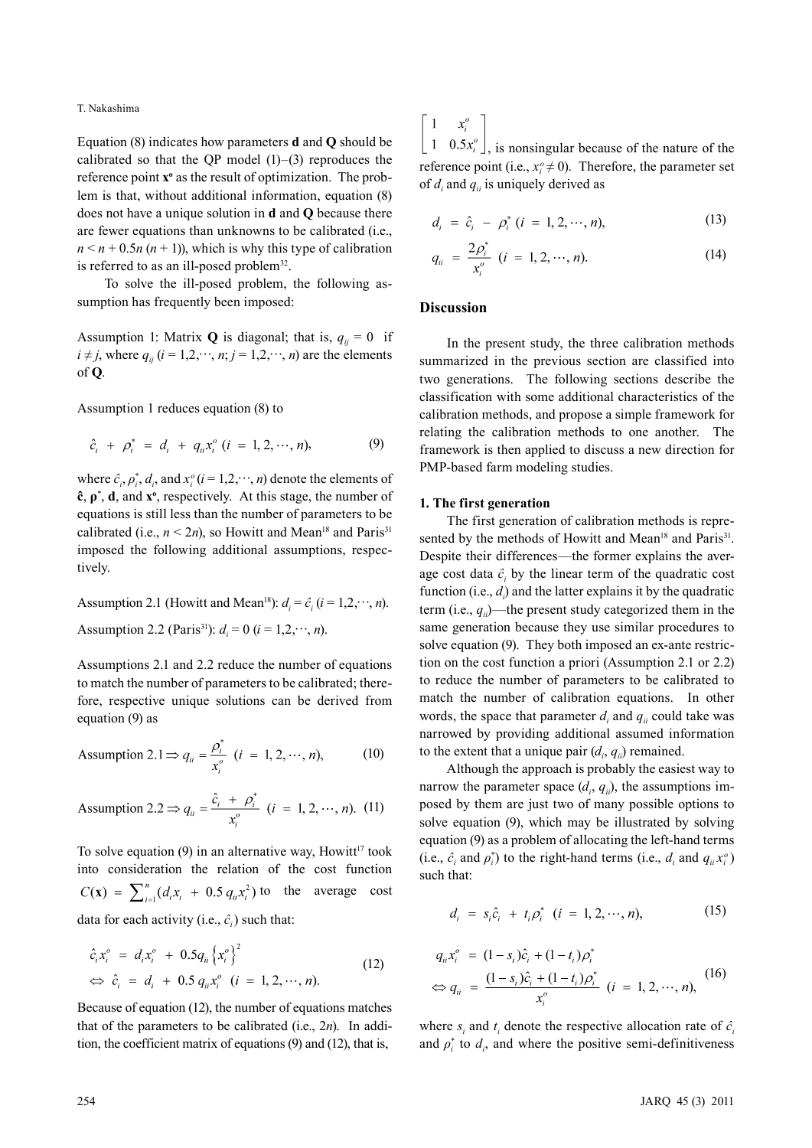#### T. Nakashima

Equation (8) indicates how parameters **d** and **Q** should be calibrated so that the OP model  $(1)$ – $(3)$  reproduces the reference point  $x^{\circ}$  as the result of optimization. The problem is that, without additional information, equation (8) does not have a unique solution in **d** and **Q** because there are fewer equations than unknowns to be calibrated (i.e.,  $n \le n + 0.5n (n + 1)$ , which is why this type of calibration is referred to as an ill-posed problem<sup>32</sup>.

To solve the ill-posed problem, the following assumption has frequently been imposed:

Assumption 1: Matrix **Q** is diagonal; that is,  $q_{ij} = 0$  if *i*  $\neq$  *j*, where  $q_{ij}$  (*i* = 1,2,…, *n*; *j* = 1,2,…, *n*) are the elements of **Q**.

Assumption 1 reduces equation (8) to

$$
\hat{c}_i + \rho_i^* = d_i + q_{ii} x_i^o \ (i = 1, 2, \cdots, n), \tag{9}
$$

where  $\hat{c}_i$ ,  $\rho_i^*$ ,  $d_i$ , and  $x_i^o$  ( $i = 1, 2, \dots, n$ ) denote the elements of **ĉ**, **ρ**\* , **d**, and **xo** , respectively. At this stage, the number of equations is still less than the number of parameters to be calibrated (i.e.,  $n < 2n$ ), so Howitt and Mean<sup>18</sup> and Paris<sup>31</sup> imposed the following additional assumptions, respectively.

Assumption 2.1 (Howitt and Mean<sup>18</sup>):  $d_i = \hat{c}_i$  ( $i = 1, 2, \dots, n$ ). Assumption 2.2 (Paris<sup>31</sup>):  $d_i = 0$  ( $i = 1, 2, \dots, n$ ).

Assumptions 2.1 and 2.2 reduce the number of equations to match the number of parameters to be calibrated; therefore, respective unique solutions can be derived from equation (9) as

Assumption 2.1 
$$
\Rightarrow
$$
  $q_{ii} = \frac{\rho_i^*}{x_i^o}$   $(i = 1, 2, \cdots, n),$  (10)

Assumption 2.2 
$$
\Rightarrow
$$
  $q_{ii} = \frac{\hat{c}_i + \rho_i^*}{x_i^o}$  (*i* = 1, 2, ..., *n*). (11)

To solve equation  $(9)$  in an alternative way, Howitt<sup>17</sup> took into consideration the relation of the cost function  $C(\mathbf{x}) = \sum_{i=1}^{n} (d_i x_i + 0.5 q_i x_i^2)$  to the average cost data for each activity (i.e.,  $\hat{c}$ <sup>*i*</sup>) such that:

$$
\hat{c}_i x_i^o = d_i x_i^o + 0.5 q_{ii} \left\{ x_i^o \right\}^2
$$
\n
$$
\Leftrightarrow \hat{c}_i = d_i + 0.5 q_{ii} x_i^o \quad (i = 1, 2, \cdots, n).
$$
\n(12)

Because of equation (12), the number of equations matches that of the parameters to be calibrated (i.e., 2*n*). In addition, the coefficient matrix of equations (9) and (12), that is,

 $\begin{bmatrix} 1 & x_i^o \\ 1 & 0.5x_i^o \end{bmatrix}$ , is nonsingular because of the nature of the reference point (i.e.,  $x_i^o \neq 0$ ). Therefore, the parameter set of  $d_i$  and  $q_{ii}$  is uniquely derived as

$$
d_i = \hat{c}_i - \rho_i^* \ (i = 1, 2, \cdots, n), \tag{13}
$$

$$
q_{ii} = \frac{2\rho_i^*}{x_i^o} \quad (i = 1, 2, \cdots, n). \tag{14}
$$

## **Discussion**

In the present study, the three calibration methods summarized in the previous section are classified into two generations. The following sections describe the classification with some additional characteristics of the calibration methods, and propose a simple framework for relating the calibration methods to one another. The framework is then applied to discuss a new direction for PMP-based farm modeling studies.

## **1. The first generation**

The first generation of calibration methods is represented by the methods of Howitt and Mean<sup>18</sup> and Paris<sup>31</sup>. Despite their differences—the former explains the average cost data  $\hat{c}_i$  by the linear term of the quadratic cost function (i.e.,  $d_i$ ) and the latter explains it by the quadratic term (i.e.,  $q_{ii}$ )—the present study categorized them in the same generation because they use similar procedures to solve equation (9). They both imposed an ex-ante restriction on the cost function a priori (Assumption 2.1 or 2.2) to reduce the number of parameters to be calibrated to match the number of calibration equations. In other words, the space that parameter  $d_i$  and  $q_{ii}$  could take was narrowed by providing additional assumed information to the extent that a unique pair  $(d_i, q_{ii})$  remained.

Although the approach is probably the easiest way to narrow the parameter space  $(d_i, q_{ii})$ , the assumptions imposed by them are just two of many possible options to solve equation (9), which may be illustrated by solving equation (9) as a problem of allocating the left-hand terms (i.e.,  $\hat{c}_i$  and  $\rho_i^*$ ) to the right-hand terms (i.e.,  $d_i$  and  $q_{ii}x_i^o$ ) such that:

$$
d_i = s_i \hat{c}_i + t_i \rho_i^* \quad (i = 1, 2, \cdots, n), \tag{15}
$$

$$
q_{ii}x_i^o = (1 - s_i)\hat{c}_i + (1 - t_i)\rho_i^*
$$
  
\n
$$
\Leftrightarrow q_{ii} = \frac{(1 - s_i)\hat{c}_i + (1 - t_i)\rho_i^*}{x_i^o} \quad (i = 1, 2, \cdots, n),
$$
 (16)

where  $s_i$  and  $t_i$  denote the respective allocation rate of  $\hat{c}_i$ and  $\rho_i^*$  to  $d_i$ , and where the positive semi-definitiveness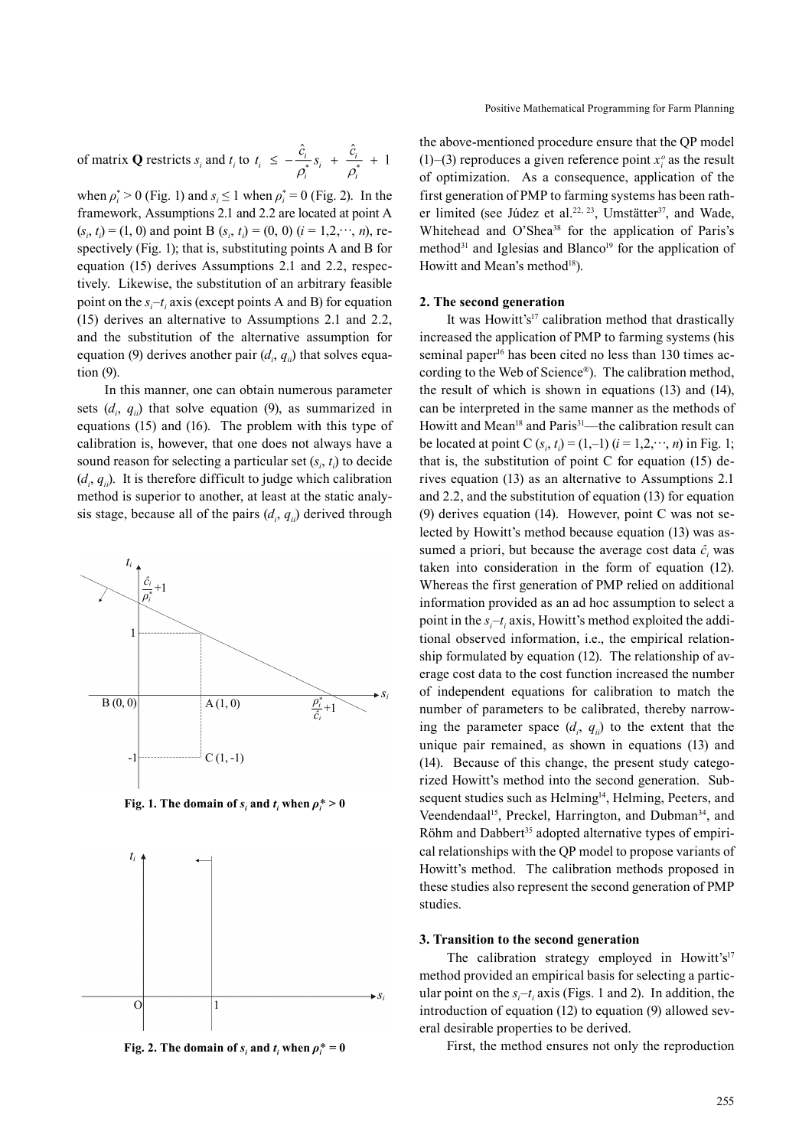of matrix **Q** restricts  $s_i$  and  $t_i$  to

when  $\rho_i^* > 0$  (Fig. 1) and  $s_i \leq 1$  when  $\rho_i^* = 0$  (Fig. 2). In the framework, Assumptions 2.1 and 2.2 are located at point A  $(s_i, t_i) = (1, 0)$  and point B  $(s_i, t_i) = (0, 0)$   $(i = 1, 2, \dots, n)$ , respectively (Fig. 1); that is, substituting points A and B for equation (15) derives Assumptions 2.1 and 2.2, respectively. Likewise, the substitution of an arbitrary feasible point on the  $s_i$ – $t_i$  axis (except points A and B) for equation (15) derives an alternative to Assumptions 2.1 and 2.2, and the substitution of the alternative assumption for equation (9) derives another pair  $(d_i, q_i)$  that solves equation (9).

In this manner, one can obtain numerous parameter sets  $(d_i, q_{ii})$  that solve equation (9), as summarized in equations (15) and (16). The problem with this type of calibration is, however, that one does not always have a sound reason for selecting a particular set  $(s_i, t_j)$  to decide  $(d_i, q_i)$ . It is therefore difficult to judge which calibration method is superior to another, at least at the static analysis stage, because all of the pairs  $(d_i, q_i)$  derived through



**Fig. 1. The domain of** *s<sub>i</sub>* and *t<sub>i</sub>* when  $\rho_i^* > 0$ 





the above-mentioned procedure ensure that the QP model (1)–(3) reproduces a given reference point  $x_i^{\circ}$  as the result of optimization. As a consequence, application of the first generation of PMP to farming systems has been rather limited (see Júdez et al.<sup>22, 23</sup>, Umstätter<sup>37</sup>, and Wade, Whitehead and O'Shea<sup>38</sup> for the application of Paris's method<sup>31</sup> and Iglesias and Blanco<sup>19</sup> for the application of Howitt and Mean's method<sup>18</sup>).

### **2. The second generation**

It was Howitt's<sup>17</sup> calibration method that drastically increased the application of PMP to farming systems (his seminal paper<sup>16</sup> has been cited no less than 130 times according to the Web of Science®). The calibration method, the result of which is shown in equations (13) and (14), can be interpreted in the same manner as the methods of Howitt and Mean<sup>18</sup> and Paris<sup>31</sup>—the calibration result can be located at point C  $(s_i, t_i) = (1,-1)$   $(i = 1,2,\dots, n)$  in Fig. 1; that is, the substitution of point C for equation (15) derives equation (13) as an alternative to Assumptions 2.1 and 2.2, and the substitution of equation (13) for equation (9) derives equation (14). However, point C was not selected by Howitt's method because equation (13) was assumed a priori, but because the average cost data  $\hat{c}_i$  was taken into consideration in the form of equation (12). Whereas the first generation of PMP relied on additional information provided as an ad hoc assumption to select a point in the  $s_i$ <sup>-t</sup><sub>i</sub> axis, Howitt's method exploited the additional observed information, i.e., the empirical relationship formulated by equation (12). The relationship of average cost data to the cost function increased the number of independent equations for calibration to match the number of parameters to be calibrated, thereby narrowing the parameter space  $(d_i, q_{ii})$  to the extent that the unique pair remained, as shown in equations (13) and (14). Because of this change, the present study categorized Howitt's method into the second generation. Subsequent studies such as Helming<sup>14</sup>, Helming, Peeters, and Veendendaal<sup>15</sup>, Preckel, Harrington, and Dubman<sup>34</sup>, and Röhm and Dabbert<sup>35</sup> adopted alternative types of empirical relationships with the QP model to propose variants of Howitt's method. The calibration methods proposed in these studies also represent the second generation of PMP studies.

#### **3. Transition to the second generation**

The calibration strategy employed in Howitt's $17$ method provided an empirical basis for selecting a particular point on the  $s_i$ – $t_i$  axis (Figs. 1 and 2). In addition, the introduction of equation (12) to equation (9) allowed several desirable properties to be derived.

First, the method ensures not only the reproduction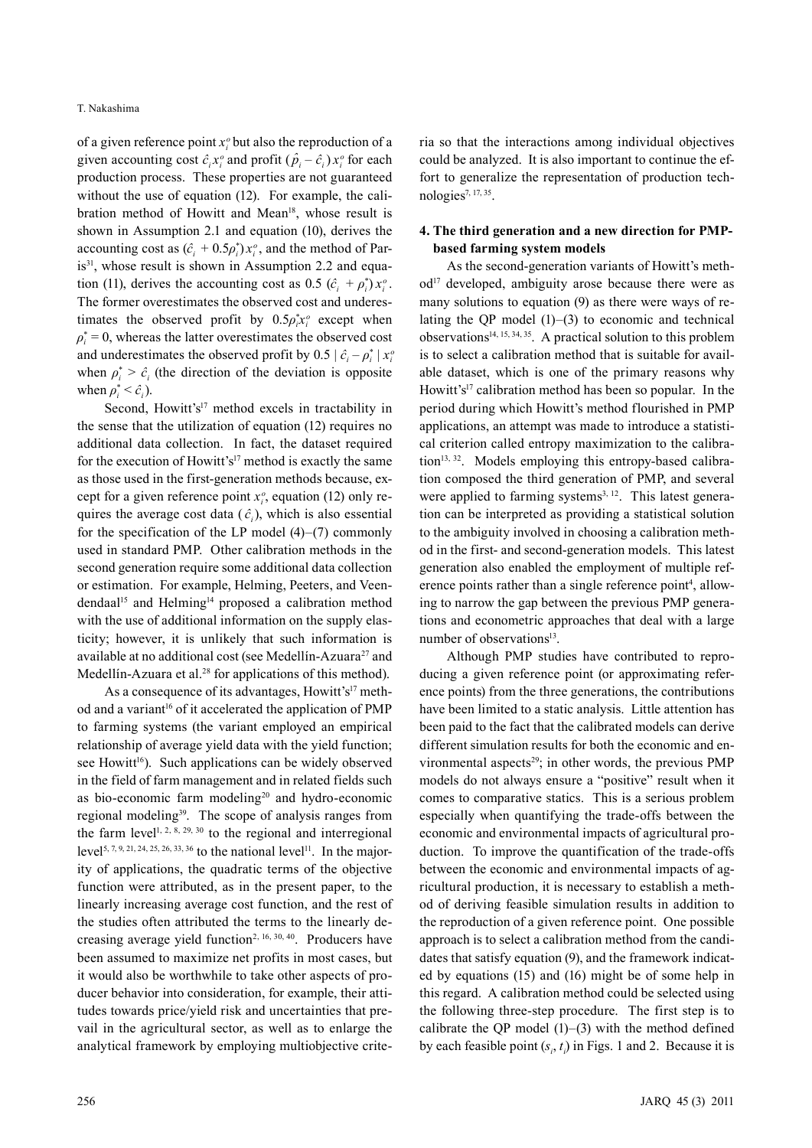of a given reference point  $x_i^o$  but also the reproduction of a given accounting cost  $\hat{c}_i x_i^o$  and profit  $(\hat{p}_i - \hat{c}_i) x_i^o$  for each production process. These properties are not guaranteed without the use of equation (12). For example, the calibration method of Howitt and Mean<sup>18</sup>, whose result is shown in Assumption 2.1 and equation (10), derives the accounting cost as  $(\hat{c}_i + 0.5\hat{\rho}_i^*)x_i^o$ , and the method of Paris<sup>31</sup>, whose result is shown in Assumption 2.2 and equation (11), derives the accounting cost as 0.5  $(\hat{c}_i + \rho_i^*) x_i^o$ . The former overestimates the observed cost and underestimates the observed profit by  $0.5\rho_i^*x_i^o$  except when  $\rho_i^* = 0$ , whereas the latter overestimates the observed cost and underestimates the observed profit by 0.5  $\left| \hat{c}_i - \rho_i^* \right| x_i^{\circ}$ when  $\rho_i^* > \hat{c}_i$  (the direction of the deviation is opposite when  $\rho_i^* < \hat{c}_i$ ).

Second, Howitt's<sup>17</sup> method excels in tractability in the sense that the utilization of equation (12) requires no additional data collection. In fact, the dataset required for the execution of Howitt's<sup>17</sup> method is exactly the same as those used in the first-generation methods because, except for a given reference point  $x_i^o$ , equation (12) only requires the average cost data  $(c_i)$ , which is also essential for the specification of the LP model  $(4)$ – $(7)$  commonly used in standard PMP. Other calibration methods in the second generation require some additional data collection or estimation. For example, Helming, Peeters, and Veendendaal<sup>15</sup> and Helming<sup>14</sup> proposed a calibration method with the use of additional information on the supply elasticity; however, it is unlikely that such information is available at no additional cost (see Medellín-Azuara<sup>27</sup> and Medellín-Azuara et al.<sup>28</sup> for applications of this method).

As a consequence of its advantages, Howitt's<sup>17</sup> method and a variant<sup>16</sup> of it accelerated the application of PMP to farming systems (the variant employed an empirical relationship of average yield data with the yield function; see Howitt<sup>16</sup>). Such applications can be widely observed in the field of farm management and in related fields such as bio-economic farm modeling<sup>20</sup> and hydro-economic regional modeling<sup>39</sup>. The scope of analysis ranges from the farm level<sup>1, 2, 8, 29, 30</sup> to the regional and interregional level<sup>5, 7, 9, 21, 24, 25, 26, 33, 36</sup> to the national level<sup>11</sup>. In the majority of applications, the quadratic terms of the objective function were attributed, as in the present paper, to the linearly increasing average cost function, and the rest of the studies often attributed the terms to the linearly decreasing average yield function<sup>2, 16, 30, 40</sup>. Producers have been assumed to maximize net profits in most cases, but it would also be worthwhile to take other aspects of producer behavior into consideration, for example, their attitudes towards price/yield risk and uncertainties that prevail in the agricultural sector, as well as to enlarge the analytical framework by employing multiobjective criteria so that the interactions among individual objectives could be analyzed. It is also important to continue the effort to generalize the representation of production technologies $7, 17, 35$ .

## **4. The third generation and a new direction for PMPbased farming system models**

As the second-generation variants of Howitt's method<sup>17</sup> developed, ambiguity arose because there were as many solutions to equation (9) as there were ways of relating the QP model  $(1)$ – $(3)$  to economic and technical  $observation<sup>14, 15, 34, 35</sup>$ . A practical solution to this problem is to select a calibration method that is suitable for available dataset, which is one of the primary reasons why Howitt's<sup>17</sup> calibration method has been so popular. In the period during which Howitt's method flourished in PMP applications, an attempt was made to introduce a statistical criterion called entropy maximization to the calibration<sup>13, 32</sup>. Models employing this entropy-based calibration composed the third generation of PMP, and several were applied to farming systems<sup>3, 12</sup>. This latest generation can be interpreted as providing a statistical solution to the ambiguity involved in choosing a calibration method in the first- and second-generation models. This latest generation also enabled the employment of multiple reference points rather than a single reference point<sup>4</sup>, allowing to narrow the gap between the previous PMP generations and econometric approaches that deal with a large number of observations<sup>13</sup>.

Although PMP studies have contributed to reproducing a given reference point (or approximating reference points) from the three generations, the contributions have been limited to a static analysis. Little attention has been paid to the fact that the calibrated models can derive different simulation results for both the economic and environmental aspects $29$ ; in other words, the previous PMP models do not always ensure a "positive" result when it comes to comparative statics. This is a serious problem especially when quantifying the trade-offs between the economic and environmental impacts of agricultural production. To improve the quantification of the trade-offs between the economic and environmental impacts of agricultural production, it is necessary to establish a method of deriving feasible simulation results in addition to the reproduction of a given reference point. One possible approach is to select a calibration method from the candidates that satisfy equation (9), and the framework indicated by equations (15) and (16) might be of some help in this regard. A calibration method could be selected using the following three-step procedure. The first step is to calibrate the QP model  $(1)$ – $(3)$  with the method defined by each feasible point  $(s_i, t_i)$  in Figs. 1 and 2. Because it is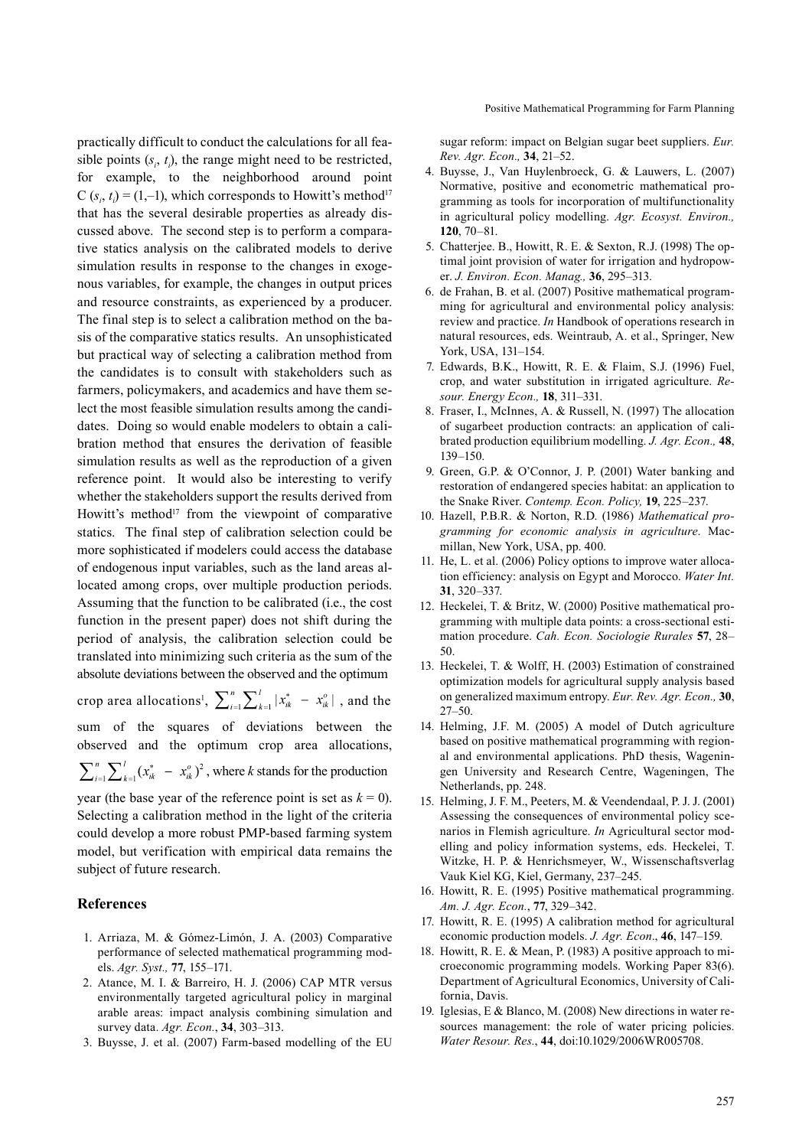practically difficult to conduct the calculations for all feasible points  $(s_i, t_i)$ , the range might need to be restricted, for example, to the neighborhood around point C  $(s_i, t_i) = (1,-1)$ , which corresponds to Howitt's method<sup>17</sup> that has the several desirable properties as already discussed above. The second step is to perform a comparative statics analysis on the calibrated models to derive simulation results in response to the changes in exogenous variables, for example, the changes in output prices and resource constraints, as experienced by a producer. The final step is to select a calibration method on the basis of the comparative statics results. An unsophisticated but practical way of selecting a calibration method from the candidates is to consult with stakeholders such as farmers, policymakers, and academics and have them select the most feasible simulation results among the candidates. Doing so would enable modelers to obtain a calibration method that ensures the derivation of feasible simulation results as well as the reproduction of a given reference point. It would also be interesting to verify whether the stakeholders support the results derived from Howitt's method<sup>17</sup> from the viewpoint of comparative statics. The final step of calibration selection could be more sophisticated if modelers could access the database of endogenous input variables, such as the land areas allocated among crops, over multiple production periods. Assuming that the function to be calibrated (i.e., the cost function in the present paper) does not shift during the period of analysis, the calibration selection could be translated into minimizing such criteria as the sum of the absolute deviations between the observed and the optimum

crop area allocations<sup>1</sup>,  $\sum_{i=1}^n \sum_{k=1}^n |x_{ik}^* - x_{ik}^o|$ , and the

sum of the squares of deviations between the observed and the optimum crop area allocations,

 $\sum_{i=1}^{n} \sum_{k=1}^{l} (x_{ik}^* - x_{ik}^o)^2$ , where *k* stands for the production

year (the base year of the reference point is set as  $k = 0$ ). Selecting a calibration method in the light of the criteria could develop a more robust PMP-based farming system model, but verification with empirical data remains the subject of future research.

# **References**

- 1. Arriaza, M. & Gómez-Limón, J. A. (2003) Comparative performance of selected mathematical programming models. *Agr. Syst.,* **77**, 155–171.
- 2. Atance, M. I. & Barreiro, H. J. (2006) CAP MTR versus environmentally targeted agricultural policy in marginal arable areas: impact analysis combining simulation and survey data. *Agr. Econ.*, **34**, 303–313.
- 3. Buysse, J. et al. (2007) Farm-based modelling of the EU

sugar reform: impact on Belgian sugar beet suppliers. *Eur. Rev. Agr. Econ.,* **34**, 21–52.

- 4. Buysse, J., Van Huylenbroeck, G. & Lauwers, L. (2007) Normative, positive and econometric mathematical programming as tools for incorporation of multifunctionality in agricultural policy modelling. *Agr. Ecosyst. Environ.,* **120**, 70–81.
- 5. Chatterjee. B., Howitt, R. E. & Sexton, R.J. (1998) The optimal joint provision of water for irrigation and hydropower. *J. Environ. Econ. Manag.,* **36**, 295–313.
- 6. de Frahan, B. et al. (2007) Positive mathematical programming for agricultural and environmental policy analysis: review and practice. *In* Handbook of operations research in natural resources, eds. Weintraub, A. et al., Springer, New York, USA, 131–154.
- 7. Edwards, B.K., Howitt, R. E. & Flaim, S.J. (1996) Fuel, crop, and water substitution in irrigated agriculture. *Resour. Energy Econ.,* **18**, 311–331.
- 8. Fraser, I., McInnes, A. & Russell, N. (1997) The allocation of sugarbeet production contracts: an application of calibrated production equilibrium modelling. *J. Agr. Econ.,* **48**, 139–150.
- 9. Green, G.P. & O'Connor, J. P. (2001) Water banking and restoration of endangered species habitat: an application to the Snake River. *Contemp. Econ. Policy,* **19**, 225–237.
- 10. Hazell, P.B.R. & Norton, R.D. (1986) *Mathematical programming for economic analysis in agriculture*. Macmillan, New York, USA, pp. 400.
- 11. He, L. et al. (2006) Policy options to improve water allocation efficiency: analysis on Egypt and Morocco. *Water Int.* **31**, 320–337.
- 12. Heckelei, T. & Britz, W. (2000) Positive mathematical programming with multiple data points: a cross-sectional estimation procedure. *Cah. Econ. Sociologie Rurales* **57**, 28– 50.
- 13. Heckelei, T. & Wolff, H. (2003) Estimation of constrained optimization models for agricultural supply analysis based on generalized maximum entropy. *Eur. Rev. Agr. Econ.,* **30**, 27–50.
- 14. Helming, J.F. M. (2005) A model of Dutch agriculture based on positive mathematical programming with regional and environmental applications. PhD thesis, Wageningen University and Research Centre, Wageningen, The Netherlands, pp. 248.
- 15. Helming, J. F. M., Peeters, M. & Veendendaal, P. J. J. (2001) Assessing the consequences of environmental policy scenarios in Flemish agriculture. *In* Agricultural sector modelling and policy information systems, eds. Heckelei, T. Witzke, H. P. & Henrichsmeyer, W., Wissenschaftsverlag Vauk Kiel KG, Kiel, Germany, 237–245.
- 16. Howitt, R. E. (1995) Positive mathematical programming. *Am. J. Agr. Econ.*, **77**, 329–342.
- 17. Howitt, R. E. (1995) A calibration method for agricultural economic production models. *J. Agr. Econ*., **46**, 147–159.
- 18. Howitt, R. E. & Mean, P. (1983) A positive approach to microeconomic programming models. Working Paper 83(6). Department of Agricultural Economics, University of California, Davis.
- 19. Iglesias, E & Blanco, M. (2008) New directions in water resources management: the role of water pricing policies. *Water Resour. Res.*, **44**, doi:10.1029/2006WR005708.